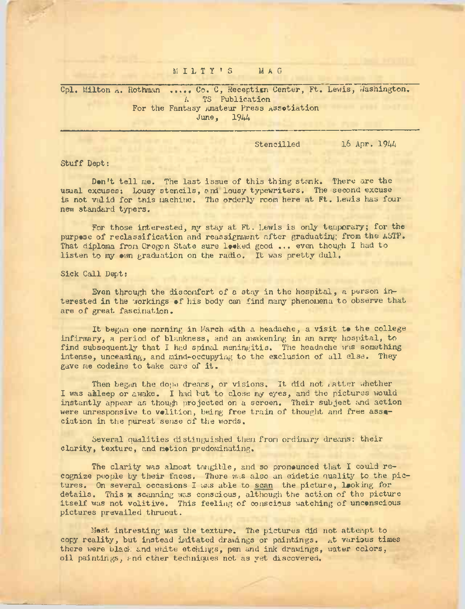# MILTY'S MAG

Cpl. Milton A. Rothman ...... Co. C, Reception Center, Ft. Lewis, Washington. TS Publication For the Fantasy Amateur Press Assotiation<br>June, 1944 June.

Stencilled 16 Apr. 1944

Stuff Dept:

Den't tell me. The last issue of this thing stank. There are the usual excuses; Lousy stencils, and lousy typewriters. The second excuse is not veil id for this machine. The orderly room here at Ft. Lewis has four new standard typers.

For those interested, my stay at Ft. Lewis is only temporary; for the purpose of reclassification and reassignment after graduating from the ASTP. That diploma from Oregon State sure Ipeked good ... even though I had to listen to my own graduation on the radio. It was pretty dull.

Sick Call Dept:

Even through the discomfort of a stay in the hospital, a person interested in the workings of his body can find many phenomena to observe that are of great fascination.

It began one morning in March with a headache, a visit to the college infirmary, a period of blankness, and an awakening in an array hospital, to find subsequently that I had spinal meningitis. The headache was something intense, unceasing, and mind-occupying to the exclusion of all else. They gave me codeine to take care of it.

Then began the dope dreams, or visions. It did not ratter whether I was akleep or awake. I had but to close my eyes, and the pictures would instantly appear as though projected on a screen. Their subject and action were unresponsive to volition, being free train of thought and free association in the purest sense of the words.

Several qualities distinguished them from ordinary dreams: their clarity, texture, and motion predominating.

The clarity was almost tangible, and so pronounced that I could recognize people by their faces. There was also an eidetic quality to the pictures. On several occasions I was able to scan the picture, looking for details. This x scanning was conscious, although the action of the picture itself was not volitive. This feeling of conscious watching of unconscious pictures prevailed thruout.

Most intresting was the texture. The pictures did not attempt to copy reality, but instead initated drawings or paintings. At various times there were black and white etchings, pen and ink drawings, water colors, oil paintings, and other techniques not as yet discovered.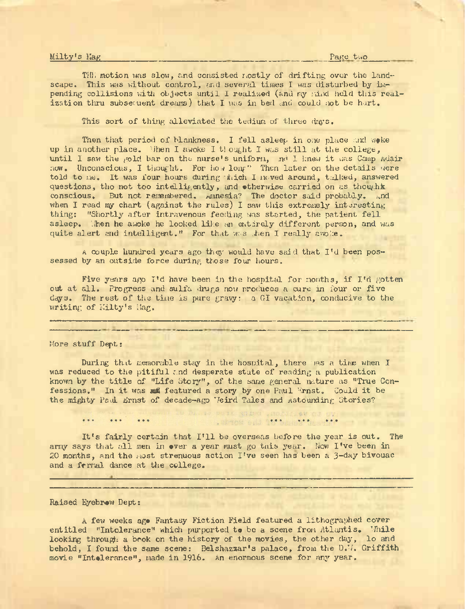### Milty's Hag Page two page two page two page two page two page two page two page two page two page two page two page two page two page two page two page two page two page two page two page of two page of two page of two pag

THE motion was slow, and consisted mostly of drifting over the landscape. This was without control, and several times I was disturbed by impending collisions with objects until I realized (and my mind held this realization thru subsequent dreams) that I was in bed and could not be hurt.

This sort of thing alleviated the tedium of three days.

Then that period of blankness. I fell asleep in one place and woke up in another place. When I awoke I tlought I was still at the college, until I saw the gold bar on the nurse's uniform, nd I knew it was Camp Adair now. Unconscious, I thought. For how long" Then later on the details were told to me. It was four hours during thich I moved around, this answered questions, tho not too intelligently, and otherwise carried on as thoughk conscious. But not remembered. Amnesia? The doctor said probably, and when I read my chart (against the rules) I saw this extremely interesting thing: "Shortly after intravenous feeding was started, the patient fell asleep. Then he awoke he looked like an entirely different person, and was quite alert and intelligent." For that w.s .hen I really awoke.

A couple hundred years ago they would have said that  $I<sup>t</sup>$ d been possessed by an outside force during those four hours.

Five years ago I'd have been in the hospital for months, if I'd gotten out at all. Progress and sulfa drugs now produces a cure in four or five days. The rest of the time is pure gravy: <sup>a</sup> GI vacation, conducive to the writing of Kilty's Hag.

#### More stuff Dept:

During that memorable stay in the hospital, there was a time when I was reduced to the pitiful and desperate state of reading a publication known by the title of "Life Story", of the same general nature as "True Confessions." In it was mul featured a story by one Paul Ernst. Could it be the mighty Paul Ernst of decade-ago Veird Tales and Astounding Stories?

It'<sup>s</sup> fairly certain that I'll be overseas before the year is out. The army says that all men in over a year must go this year. Now I've been in 20 months, and the most strenuous action I've seen has' been a 3~day bivouac and a frrnal dance at the college.

TOM BILL PARTIES ...

Raised Eyebrew Dept:

<sup>A</sup> few weeks ago Fantasy Fiction Field featured a lithographed cover entitled "Intolerance" which purported **to** be a scene from Atlantis. While looking through a book on the history of the movies, the other day, lo and behold, I found the same scene: Belshazzar's palace, from the D.W. Griffith movie "Intolerance", made in 1916. An enormous scene for any year.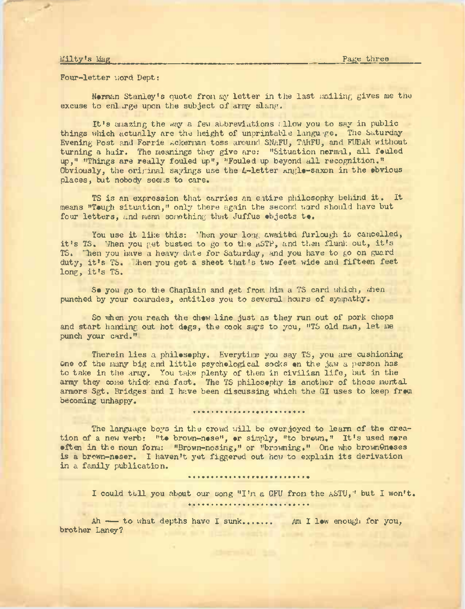## L'ilty's Mag

Four-letter word Dept:

Norman Stanley'<sup>s</sup> quote from my letter in the last mailing gives me the excuse to enlarge upon the subject of array slang.

It'<sup>s</sup> amazing the way <sup>a</sup> few abbreviations allow you to say in public things which actually are the height of unprintable language. The Saturday Evening Post and Forrie Ackerman toss around SNAFU, TAHFU, and FUBAH without turning a hair. The meanings they give are: "Situation normal, all fouled up," "Things are really fouled up", "Fouled up beyond all recognition." Obviously, the original sayings use the  $L$ -letter  $angle$ -saxon in the obvious places, but nobody seems to care.

TS is an expression that carries an entire philosophy behind it. It means "Tough situation," only there again the second ward should have but four letters, and mean something that Juffus objects **to.**

You use it like this: 'hen your long awaited furlough is cancelled, it's TS. 'Then you get busted to go to the nSTP, and then flunk out, it's TS. "Jhen you have a heavy date for Saturday, and you have to go on guard duty, it's TS. Then you get a sheet that's two feet wide and fifteen feet long, it'<sup>s</sup> TS.

So you go to the Chaplain and get from him a TS card which, when punched by your comrades, entitles you to several hours of sympathy.

So when you reach the chow line just as they run out of pork chops and start handing out hot dogs, the cook says to you, "TS old man, let me punch your card."

Therein lies a philosophy. Everytime you say TS, you are cushioning one of the many big and little psychological socks **on** the jaw <sup>a</sup> person has to take in the array. You take plenty of them in civilian life, but in the army they come thick and fast. The TS philosophy is another of those mental armors Sgt. Bridges and I have been discussing which the GI uses to keep from becoming unhappy.

........................

The language boys in the crowd will be overjoyed to learn of the creation of <sup>a</sup> new verb: **"to** brown-nose", **or** simply, "to brown," It's used more often in the noun form: "Brown-nosing," or "browning." One who brownOnoses is <sup>a</sup> brown-noser. I haven't yet figgered out how to explain its derivation in a family publication.

## 

I could tell you about our song "I'm a GFU from the <sup>a</sup>STU," but I won't. \*\*\*\*\*\*\*\*\*\*\*\*\*\*\*\*\*\*\*\*\*\*\*\*\*\*\*

Ah ---- to what depths have I sunk....... Am I low enough for you, brother Laney?